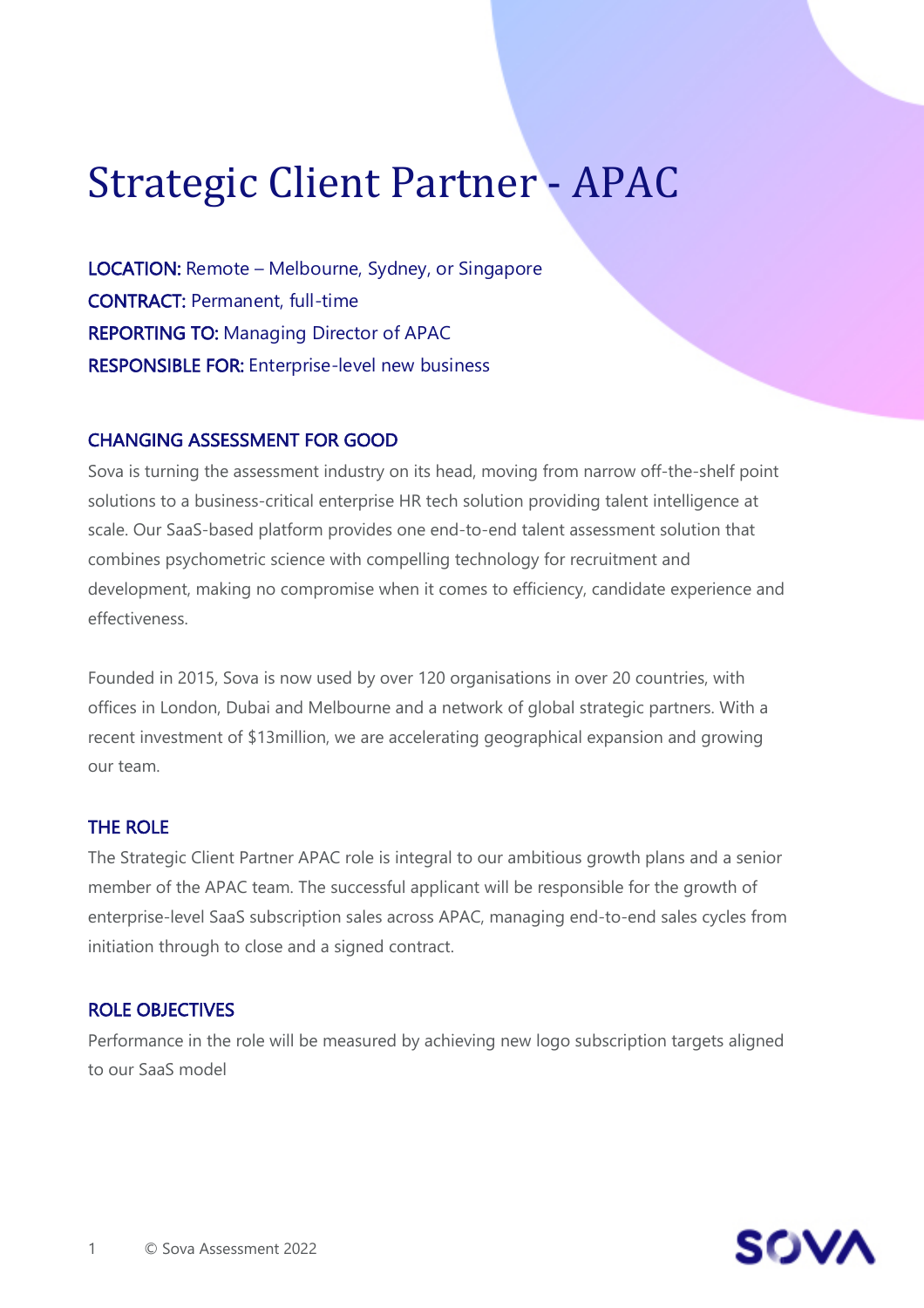# Strategic Client Partner - APAC

LOCATION: Remote – Melbourne, Sydney, or Singapore CONTRACT: Permanent, full-time REPORTING TO: Managing Director of APAC RESPONSIBLE FOR: Enterprise-level new business

#### CHANGING ASSESSMENT FOR GOOD

Sova is turning the assessment industry on its head, moving from narrow off-the-shelf point solutions to a business-critical enterprise HR tech solution providing talent intelligence at scale. Our SaaS-based platform provides one end-to-end talent assessment solution that combines psychometric science with compelling technology for recruitment and development, making no compromise when it comes to efficiency, candidate experience and effectiveness.

Founded in 2015, Sova is now used by over 120 organisations in over 20 countries, with offices in London, Dubai and Melbourne and a network of global strategic partners. With a recent investment of \$13million, we are accelerating geographical expansion and growing our team.

#### THE ROLE

The Strategic Client Partner APAC role is integral to our ambitious growth plans and a senior member of the APAC team. The successful applicant will be responsible for the growth of enterprise-level SaaS subscription sales across APAC, managing end-to-end sales cycles from initiation through to close and a signed contract.

#### ROLE OBJECTIVES

Performance in the role will be measured by achieving new logo subscription targets aligned to our SaaS model

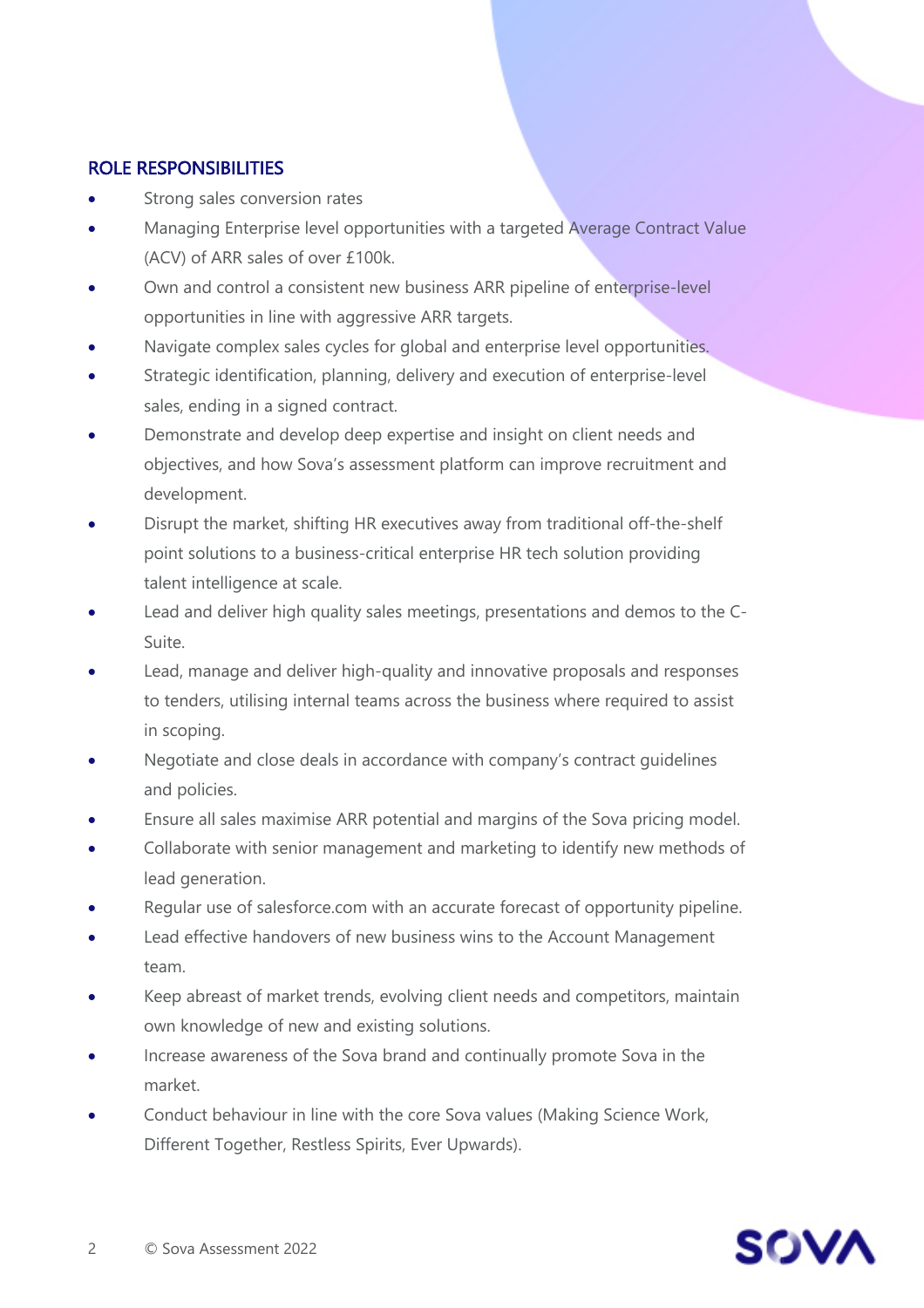## ROLE RESPONSIBILITIES

- Strong sales conversion rates
- Managing Enterprise level opportunities with a targeted Average Contract Value (ACV) of ARR sales of over £100k.
- Own and control a consistent new business ARR pipeline of enterprise-level opportunities in line with aggressive ARR targets.
- Navigate complex sales cycles for global and enterprise level opportunities.
- Strategic identification, planning, delivery and execution of enterprise-level sales, ending in a signed contract.
- Demonstrate and develop deep expertise and insight on client needs and objectives, and how Sova's assessment platform can improve recruitment and development.
- Disrupt the market, shifting HR executives away from traditional off-the-shelf point solutions to a business-critical enterprise HR tech solution providing talent intelligence at scale.
- Lead and deliver high quality sales meetings, presentations and demos to the C-Suite.
- Lead, manage and deliver high-quality and innovative proposals and responses to tenders, utilising internal teams across the business where required to assist in scoping.
- Negotiate and close deals in accordance with company's contract quidelines and policies.
- Ensure all sales maximise ARR potential and margins of the Sova pricing model.
- Collaborate with senior management and marketing to identify new methods of lead generation.
- Regular use of salesforce.com with an accurate forecast of opportunity pipeline.
- Lead effective handovers of new business wins to the Account Management team.
- Keep abreast of market trends, evolving client needs and competitors, maintain own knowledge of new and existing solutions.
- Increase awareness of the Sova brand and continually promote Sova in the market.
- Conduct behaviour in line with the core Sova values (Making Science Work, Different Together, Restless Spirits, Ever Upwards).

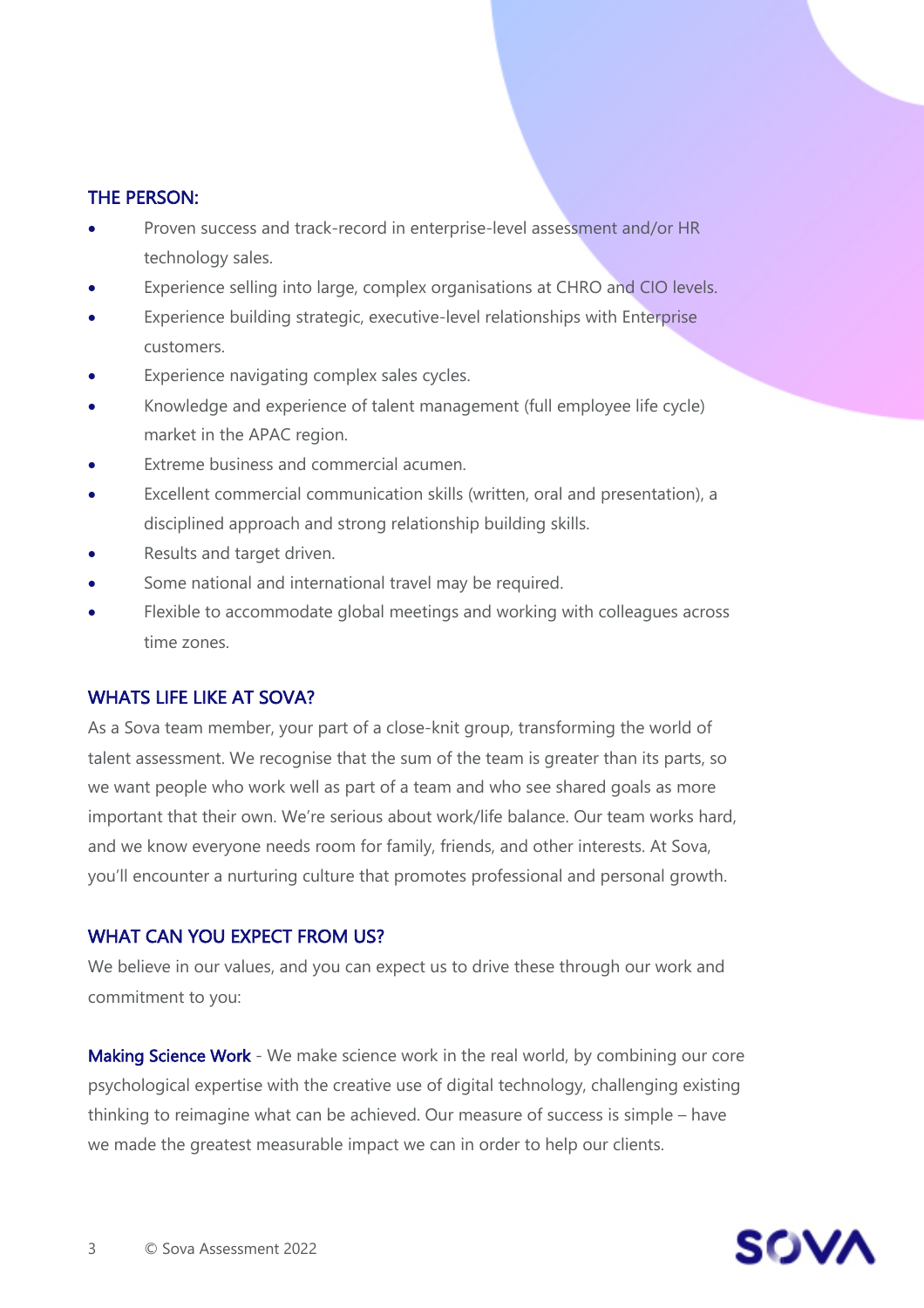## THE PERSON:

- Proven success and track-record in enterprise-level assessment and/or HR technology sales.
- Experience selling into large, complex organisations at CHRO and CIO levels.
- Experience building strategic, executive-level relationships with Enterprise customers.
- Experience navigating complex sales cycles.
- Knowledge and experience of talent management (full employee life cycle) market in the APAC region.
- Extreme business and commercial acumen.
- Excellent commercial communication skills (written, oral and presentation), a disciplined approach and strong relationship building skills.
- Results and target driven.
- Some national and international travel may be required.
- Flexible to accommodate global meetings and working with colleagues across time zones.

# WHATS LIFE LIKE AT SOVA?

As a Sova team member, your part of a close-knit group, transforming the world of talent assessment. We recognise that the sum of the team is greater than its parts, so we want people who work well as part of a team and who see shared goals as more important that their own. We're serious about work/life balance. Our team works hard, and we know everyone needs room for family, friends, and other interests. At Sova, you'll encounter a nurturing culture that promotes professional and personal growth.

## WHAT CAN YOU EXPECT FROM US?

We believe in our values, and you can expect us to drive these through our work and commitment to you:

Making Science Work - We make science work in the real world, by combining our core psychological expertise with the creative use of digital technology, challenging existing thinking to reimagine what can be achieved. Our measure of success is simple – have we made the greatest measurable impact we can in order to help our clients.